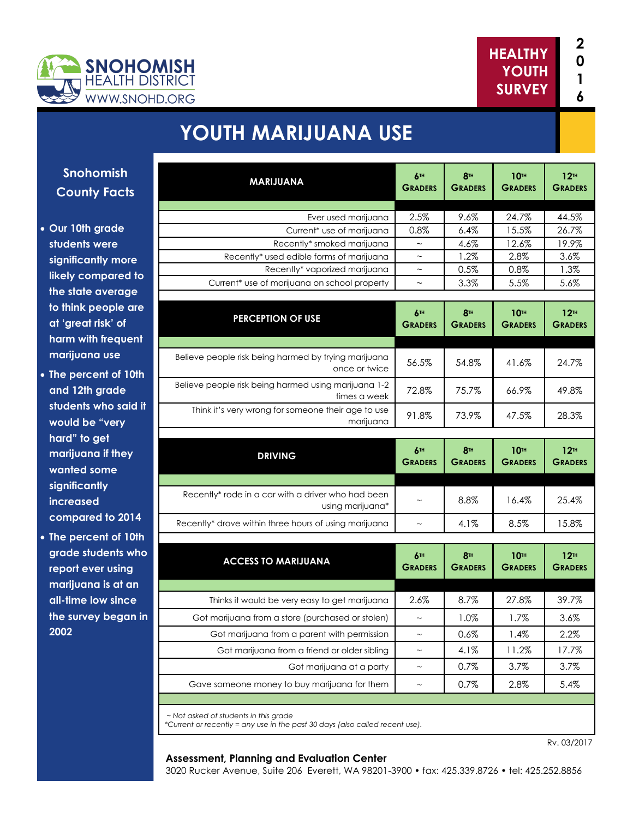

**1**



# **YOUTH MARIJUANA USE**

| <b>MARIJUANA</b>                                                                      | 6TH<br><b>GRADERS</b>     | 8 <sup>TH</sup><br><b>GRADERS</b> | <b>10TH</b><br><b>GRADERS</b> | 12 <sup>TH</sup><br><b>GRADERS</b> |
|---------------------------------------------------------------------------------------|---------------------------|-----------------------------------|-------------------------------|------------------------------------|
|                                                                                       |                           |                                   | 24.7%                         |                                    |
| Ever used marijuana<br>Current* use of marijuana                                      | 2.5%<br>0.8%              | 9.6%<br>6.4%                      | 15.5%                         | 44.5%<br>26.7%                     |
| Recently* smoked marijuana                                                            | $\tilde{ }$               | 4.6%                              | 12.6%                         | 19.9%                              |
| Recently* used edible forms of marijuana                                              | $\widetilde{\phantom{m}}$ | 1.2%                              | 2.8%                          | 3.6%                               |
| Recently* vaporized marijuana                                                         | $\widetilde{\phantom{m}}$ | 0.5%                              | 0.8%                          | 1.3%                               |
| Current* use of marijuana on school property                                          | $\sim$                    | 3.3%                              | 5.5%                          | 5.6%                               |
| <b>PERCEPTION OF USE</b>                                                              | 6TH<br><b>GRADERS</b>     | 8 <sup>TH</sup><br><b>GRADERS</b> | <b>10TH</b><br><b>GRADERS</b> | 12 <sup>TH</sup><br><b>GRADERS</b> |
| Believe people risk being harmed by trying marijuana                                  | 56.5%                     | 54.8%                             | 41.6%                         | 24.7%                              |
| once or twice<br>Believe people risk being harmed using marijuana 1-2<br>times a week | 72.8%                     | 75.7%                             | 66.9%                         | 49.8%                              |
| Think it's very wrong for someone their age to use<br>marijuana                       | 91.8%                     | 73.9%                             | 47.5%                         | 28.3%                              |
| <b>DRIVING</b>                                                                        | 6TH<br><b>GRADERS</b>     | 8 <sup>TH</sup><br><b>GRADERS</b> | <b>10TH</b><br><b>GRADERS</b> | 12 <sup>TH</sup><br><b>GRADERS</b> |
| Recently* rode in a car with a driver who had been<br>using marijuana*                | $\sim$                    | 8.8%                              | 16.4%                         | 25.4%                              |
| Recently* drove within three hours of using marijuana                                 | $\sim$                    | 4.1%                              | 8.5%                          | 15.8%                              |
| <b>ACCESS TO MARIJUANA</b>                                                            | 6TH<br><b>GRADERS</b>     | 8 <sup>TH</sup><br><b>GRADERS</b> | <b>10TH</b><br><b>GRADERS</b> | 12 <sup>TH</sup><br><b>GRADERS</b> |
|                                                                                       |                           |                                   |                               | 39.7%                              |
|                                                                                       |                           |                                   |                               |                                    |
| Thinks it would be very easy to get marijuana                                         | 2.6%                      | 8.7%                              | 27.8%                         |                                    |
| Got marijuana from a store (purchased or stolen)                                      | $\sim$                    | 1.0%                              | 1.7%                          | 3.6%                               |
| Got marijuana from a parent with permission                                           | $\sim$                    | 0.6%                              | 1.4%                          |                                    |
| Got marijuana from a friend or older sibling                                          | $\sim$                    | 4.1%                              | 11.2%                         |                                    |
| Got marijuana at a party                                                              | $\sim$                    | 0.7%<br>0.7%                      | 3.7%                          | 2.2%<br>17.7%<br>3.7%<br>5.4%      |

*\*Current or recently = any use in the past 30 days (also called recent use).* 

### Rv. 03/2017

### **Assessment, Planning and Evaluation Center**

3020 Rucker Avenue, Suite 206 Everett, WA 98201-3900 • fax: 425.339.8726 • tel: 425.252.8856

**Snohomish County Fact** 

- **Our 10th grade students were significantly more likely compared the state average**  to think people **at 'great risk' of harm with frequent marijuana use**
- The percent of 1 **and 12th grade**  students who sa **would be "very hard" to get marijuana if the wanted some significantly increased**  compared to 20
- **The percent of 1** grade students **report ever using marijuana is at a all-time low sinc** the survey bega **2002**